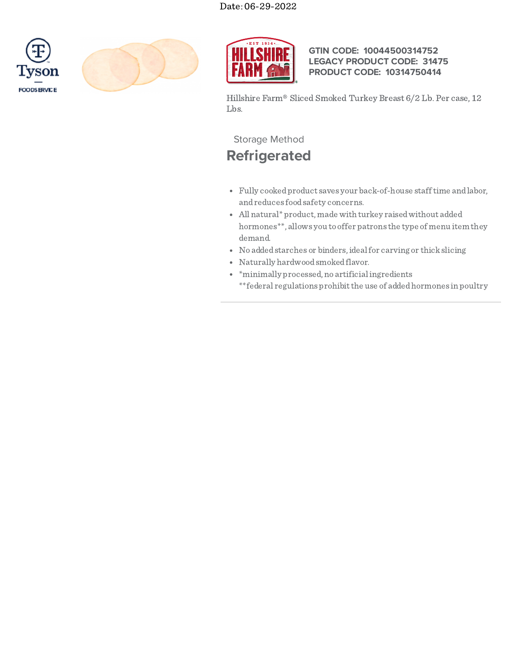





## **GTIN CODE: 10044500314752 LEGACY PRODUCT CODE: 31475 PRODUCT CODE: 10314750414**

Hillshire Farm® Sliced Smoked Turkey Breast 6/2 Lb. Per case, 12 Lbs.

## Storage Method

# **Refrigerated**

- Fully cookedproduct saves your back-of-house stafftime andlabor, andreduces foodsafety concerns.
- All natural\* product, made with turkey raisedwithout added hormones\*\*, allows you to offer patrons the type of menu item they demand.
- No addedstarches or binders,idealfor carving or thickslicing
- Naturally hardwood smoked flavor.
- $*$  minimally processed, no artificial ingredients \*\*federal regulations prohibit the use of added hormones in poultry